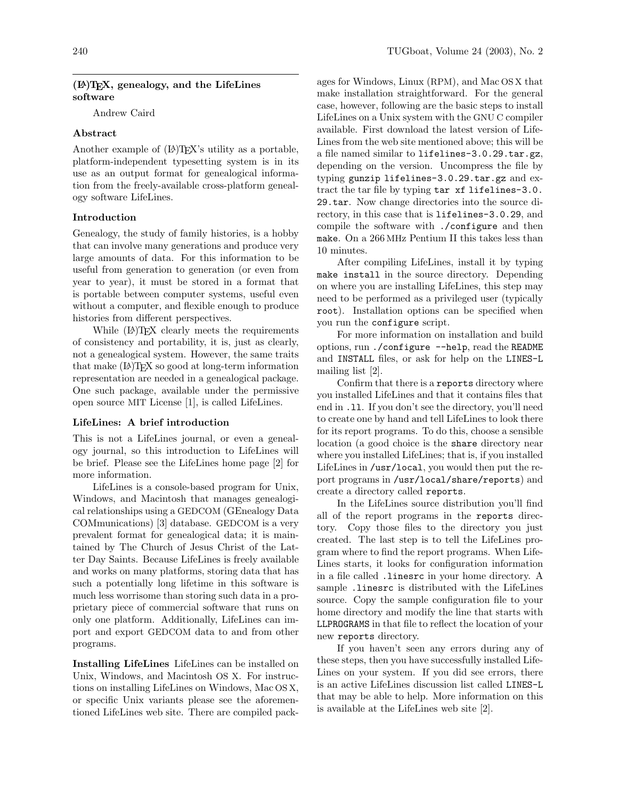## (LA)TEX, genealogy, and the LifeLines software

Andrew Caird

### Abstract

Another example of  $(L)$ TEX's utility as a portable, platform-independent typesetting system is in its use as an output format for genealogical information from the freely-available cross-platform genealogy software LifeLines.

#### Introduction

Genealogy, the study of family histories, is a hobby that can involve many generations and produce very large amounts of data. For this information to be useful from generation to generation (or even from year to year), it must be stored in a format that is portable between computer systems, useful even without a computer, and flexible enough to produce histories from different perspectives.

While (LA)T<sub>F</sub>X clearly meets the requirements of consistency and portability, it is, just as clearly, not a genealogical system. However, the same traits that make  $(\Delta)$ TEX so good at long-term information representation are needed in a genealogical package. One such package, available under the permissive open source MIT License [\[1\]](#page-4-0), is called LifeLines.

#### LifeLines: A brief introduction

This is not a LifeLines journal, or even a genealogy journal, so this introduction to LifeLines will be brief. Please see the LifeLines home page [\[2\]](#page-4-1) for more information.

LifeLines is a console-based program for Unix, Windows, and Macintosh that manages genealogical relationships using a GEDCOM (GEnealogy Data COMmunications) [\[3\]](#page-4-2) database. GEDCOM is a very prevalent format for genealogical data; it is maintained by The Church of Jesus Christ of the Latter Day Saints. Because LifeLines is freely available and works on many platforms, storing data that has such a potentially long lifetime in this software is much less worrisome than storing such data in a proprietary piece of commercial software that runs on only one platform. Additionally, LifeLines can import and export GEDCOM data to and from other programs.

Installing LifeLines LifeLines can be installed on Unix, Windows, and Macintosh OS X. For instructions on installing LifeLines on Windows, Mac OS X, or specific Unix variants please see the aforementioned LifeLines web site. There are compiled packages for Windows, Linux (RPM), and Mac OS X that make installation straightforward. For the general case, however, following are the basic steps to install LifeLines on a Unix system with the GNU C compiler available. First download the latest version of Life-Lines from the web site mentioned above; this will be a file named similar to lifelines-3.0.29.tar.gz, depending on the version. Uncompress the file by typing gunzip lifelines-3.0.29.tar.gz and extract the tar file by typing tar xf lifelines-3.0. 29.tar. Now change directories into the source directory, in this case that is lifelines-3.0.29, and compile the software with ./configure and then make. On a 266 MHz Pentium II this takes less than 10 minutes.

After compiling LifeLines, install it by typing make install in the source directory. Depending on where you are installing LifeLines, this step may need to be performed as a privileged user (typically root). Installation options can be specified when you run the configure script.

For more information on installation and build options, run ./configure --help, read the README and INSTALL files, or ask for help on the LINES-L mailing list [\[2\]](#page-4-1).

Confirm that there is a reports directory where you installed LifeLines and that it contains files that end in .ll. If you don't see the directory, you'll need to create one by hand and tell LifeLines to look there for its report programs. To do this, choose a sensible location (a good choice is the share directory near where you installed LifeLines; that is, if you installed LifeLines in /usr/local, you would then put the report programs in /usr/local/share/reports) and create a directory called reports.

In the LifeLines source distribution you'll find all of the report programs in the reports directory. Copy those files to the directory you just created. The last step is to tell the LifeLines program where to find the report programs. When Life-Lines starts, it looks for configuration information in a file called .linesrc in your home directory. A sample .linesrc is distributed with the LifeLines source. Copy the sample configuration file to your home directory and modify the line that starts with LLPROGRAMS in that file to reflect the location of your new reports directory.

If you haven't seen any errors during any of these steps, then you have successfully installed Life-Lines on your system. If you did see errors, there is an active LifeLines discussion list called LINES-L that may be able to help. More information on this is available at the LifeLines web site [\[2\]](#page-4-1).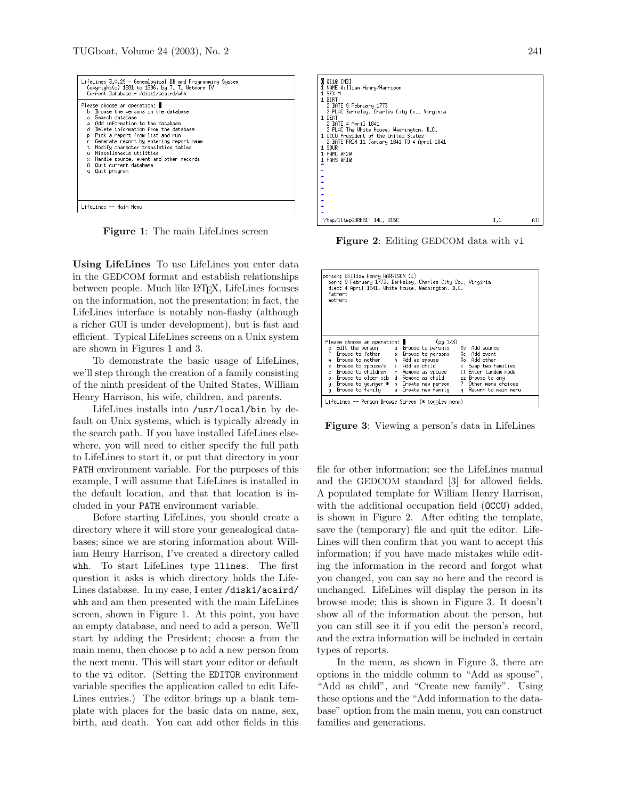| LifeLines 3.0.29 - Genealogical DB and Programming Sustem<br>Copyright(c) 1991 to 1996, by T. T. Wetmore IV<br>Current Database - /disk1/acaird/whh                                                                                                                                                                                                                                                                                                |  |  |  |  |  |  |
|----------------------------------------------------------------------------------------------------------------------------------------------------------------------------------------------------------------------------------------------------------------------------------------------------------------------------------------------------------------------------------------------------------------------------------------------------|--|--|--|--|--|--|
| Please choose an operation: I<br>Browse the persons in the database<br>ь.<br>s Search database<br>a. Add information to the database<br>d Delete information from the database<br>Pick a report from list and run<br>Þ<br>Generate report by entering report name<br>'n<br>Modify character translation tables<br>t.<br>Miscellaneous utilities<br>u.<br>x Handle source, event and other records<br>0 Ouit current database<br>Quit program<br>a. |  |  |  |  |  |  |
| LifeLines -- Main Menu                                                                                                                                                                                                                                                                                                                                                                                                                             |  |  |  |  |  |  |

<span id="page-1-0"></span>Figure 1: The main LifeLines screen

Using LifeLines To use LifeLines you enter data in the GEDCOM format and establish relationships between people. Much like LATEX, LifeLines focuses on the information, not the presentation; in fact, the LifeLines interface is notably non-flashy (although a richer GUI is under development), but is fast and efficient. Typical LifeLines screens on a Unix system are shown in Figures [1](#page-1-0) and [3.](#page-1-1)

To demonstrate the basic usage of LifeLines, we'll step through the creation of a family consisting of the ninth president of the United States, William Henry Harrison, his wife, children, and parents.

LifeLines installs into /usr/local/bin by default on Unix systems, which is typically already in the search path. If you have installed LifeLines elsewhere, you will need to either specify the full path to LifeLines to start it, or put that directory in your PATH environment variable. For the purposes of this example, I will assume that LifeLines is installed in the default location, and that that location is included in your PATH environment variable.

Before starting LifeLines, you should create a directory where it will store your genealogical databases; since we are storing information about William Henry Harrison, I've created a directory called whh. To start LifeLines type llines. The first question it asks is which directory holds the Life-Lines database. In my case, I enter /disk1/acaird/ whh and am then presented with the main LifeLines screen, shown in Figure [1.](#page-1-0) At this point, you have an empty database, and need to add a person. We'll start by adding the President; choose a from the main menu, then choose p to add a new person from the next menu. This will start your editor or default to the vi editor. (Setting the EDITOR environment variable specifies the application called to edit Life-Lines entries.) The editor brings up a blank template with places for the basic data on name, sex, birth, and death. You can add other fields in this



<span id="page-1-2"></span>Figure 2: Editing GEDCOM data with vi

| person: William Henry HARRISON (1)<br>born: 9 February 1773, Berkeley, Charles City Co., Virginia<br>died: 4 April 1841, White House, Washington, D.C.<br>father:<br>mother: |  |  |                                            |  |  |  |          |                       |
|------------------------------------------------------------------------------------------------------------------------------------------------------------------------------|--|--|--------------------------------------------|--|--|--|----------|-----------------------|
|                                                                                                                                                                              |  |  | Please choose an operation: New York 1999  |  |  |  | (pq 1/3) |                       |
|                                                                                                                                                                              |  |  | e Edit the person u Browse to parents      |  |  |  |          | %s Add source         |
|                                                                                                                                                                              |  |  | Browse to father b Browse to persons       |  |  |  |          | Xe Add event          |
|                                                                                                                                                                              |  |  | m Browse to mother h Add as spouse         |  |  |  |          | %o Add other          |
|                                                                                                                                                                              |  |  | s Browse to spouse/s  i Add as child       |  |  |  |          | x Swap two families   |
|                                                                                                                                                                              |  |  | c Browse to children   r  Remove as spouse |  |  |  |          | tt Enter tandem mode  |
|                                                                                                                                                                              |  |  | o Browse to older sib d Remove as child    |  |  |  |          | zz Browse to any      |
|                                                                                                                                                                              |  |  | y Browse to younger * n Create new person  |  |  |  |          | ? Other menu choices  |
|                                                                                                                                                                              |  |  | g Browse to family - a Create new family - |  |  |  |          | g Return to main menu |
| LifeLines -- Person Browse Screen (* toggles menu)                                                                                                                           |  |  |                                            |  |  |  |          |                       |

<span id="page-1-1"></span>Figure 3: Viewing a person's data in LifeLines

file for other information; see the LifeLines manual and the GEDCOM standard [\[3\]](#page-4-2) for allowed fields. A populated template for William Henry Harrison, with the additional occupation field (OCCU) added, is shown in Figure [2.](#page-1-2) After editing the template, save the (temporary) file and quit the editor. Life-Lines will then confirm that you want to accept this information; if you have made mistakes while editing the information in the record and forgot what you changed, you can say no here and the record is unchanged. LifeLines will display the person in its browse mode; this is shown in Figure [3.](#page-1-1) It doesn't show all of the information about the person, but you can still see it if you edit the person's record, and the extra information will be included in certain types of reports.

In the menu, as shown in Figure [3,](#page-1-1) there are options in the middle column to "Add as spouse", "Add as child", and "Create new family". Using these options and the "Add information to the database" option from the main menu, you can construct families and generations.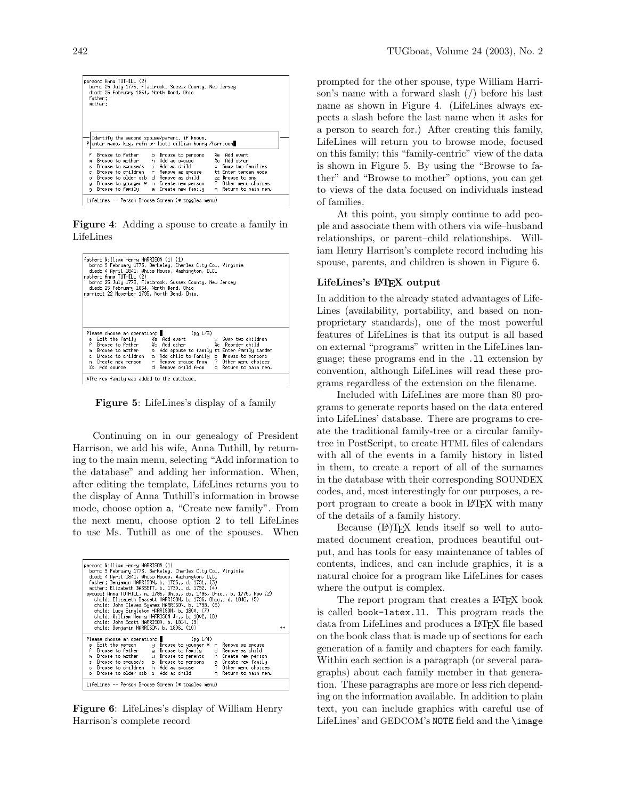|    | person: Anna TUTHILL (2)<br>born: 25 July 1775, Flatbrook, Sussex County, New Jersey<br>died: 25 February 1864, North Bend, Ohio<br>father:<br>mother: |  |                                       |    |                       |  |  |
|----|--------------------------------------------------------------------------------------------------------------------------------------------------------|--|---------------------------------------|----|-----------------------|--|--|
|    | Identify the second spouse/parent, if known.                                                                                                           |  |                                       |    |                       |  |  |
| Ρ  | enter name, key, refn or list; william henry /harrison                                                                                                 |  |                                       |    |                       |  |  |
|    |                                                                                                                                                        |  | Browse to father b Browse to persons  |    | %e Add event          |  |  |
| m  |                                                                                                                                                        |  | Browse to mother h Add as spouse      |    | %o Add other          |  |  |
|    | s Browse to spouse/s  i Add as child                                                                                                                   |  |                                       |    | x Swap two families   |  |  |
|    | c Browse to children   r  Remove as spouse                                                                                                             |  |                                       |    | tt Enter tandem mode  |  |  |
| ο. |                                                                                                                                                        |  | Browse to older sib d Remove as child |    | zz Browse to any      |  |  |
|    | y Browse to younger * n Create new person                                                                                                              |  |                                       | -2 | Other menu choices    |  |  |
|    | g Browse to family - a Create new family                                                                                                               |  |                                       |    | g Return to main menu |  |  |
|    | LifeLines -- Person Browse Screen (* toggles menu)                                                                                                     |  |                                       |    |                       |  |  |

<span id="page-2-0"></span>Figure 4: Adding a spouse to create a family in LifeLines

| father: William Henry HARRISON (1) (1)<br>mother: Anna TUTHILL (2)<br>died: 25 February 1864, North Bend, Ohio<br>married: 22 November 1795, North Bend, Ohio. | born: 9 February 1773, Berkeley, Charles City Co., Virginia<br>died: 4 April 1841, White House, Washington, D.C.<br>born: 25 July 1775, Flatbrook, Sussex County, New Jersey |  |  |  |  |
|----------------------------------------------------------------------------------------------------------------------------------------------------------------|------------------------------------------------------------------------------------------------------------------------------------------------------------------------------|--|--|--|--|
| Please choose an operation: $(pg 1/3)$                                                                                                                         | e Edit the family - %e Add event<br>x Swap two children<br>Browse to father   %o Add other<br>%c Reorder child                                                               |  |  |  |  |
|                                                                                                                                                                | m Browse to mother s Add spouse to family tt Enter family tandem                                                                                                             |  |  |  |  |
|                                                                                                                                                                | c Browse to children – a Add child to family – b Browse to persons                                                                                                           |  |  |  |  |
|                                                                                                                                                                | n Create new person r Remove spouse from ? Other menu choices                                                                                                                |  |  |  |  |
|                                                                                                                                                                | % Add source d Remove child from q Return to main menu                                                                                                                       |  |  |  |  |
| *The new family was added to the database.                                                                                                                     |                                                                                                                                                                              |  |  |  |  |

<span id="page-2-1"></span>Figure 5: LifeLines's display of a family

Continuing on in our genealogy of President Harrison, we add his wife, Anna Tuthill, by returning to the main menu, selecting "Add information to the database" and adding her information. When, after editing the template, LifeLines returns you to the display of Anna Tuthill's information in browse mode, choose option a, "Create new family". From the next menu, choose option 2 to tell LifeLines to use Ms. Tuthill as one of the spouses. When

| person: William Henry HARRISON (1)<br>born: 9 February 1773, Berkeley, Charles City Co., Virginia<br>died: 4 April 1841, White House, Washington, D.C.<br>father: Benjamin HARRISON, b. 1726., d. 1791. (3)<br>mother: Elizabeth BASSETT, b. 1730., d. 1792. (4)<br>spouse: Anna TUTHILL, m. 1795, Ohio., cb. 1796, Ohio., b. 1775, New (2)<br>child: Elizabeth Bassett HARRISON, b. 1796, Ohio., d. 1846. (5)<br>child: John Cleves Summes HARRISON, b. 1798. (6)<br>child: Lucy Singleton HARRISON, b. 1800. (7)<br>child: William Henry HARRISON Jr., b. 1802. (8)<br>child: John Scott HARRISON, b. 1804. (9)<br>child: Benjamin HARRISON, b. 1806. (10) |                       |  |  |  |  |  |
|--------------------------------------------------------------------------------------------------------------------------------------------------------------------------------------------------------------------------------------------------------------------------------------------------------------------------------------------------------------------------------------------------------------------------------------------------------------------------------------------------------------------------------------------------------------------------------------------------------------------------------------------------------------|-----------------------|--|--|--|--|--|
| Please choose an operation: $(pg 1/4)$<br>e Edit the person y Browse to younger * r Remove as spouse<br>f Browse to father g Browse to family d Remove as child<br>m Browse to mother the Browse to parents the Create new person<br>s Browse to spouse/s b Browse to persons a Create new family                                                                                                                                                                                                                                                                                                                                                            | $^{++}$               |  |  |  |  |  |
| c Browse to children h Add as spouse . ? Other menu choices<br>o Browse to older sib  i  Add as child<br>LifeLines -- Person Browse Screen (* toggles menu)                                                                                                                                                                                                                                                                                                                                                                                                                                                                                                  | q Return to main menu |  |  |  |  |  |

<span id="page-2-2"></span>Figure 6: LifeLines's display of William Henry Harrison's complete record

prompted for the other spouse, type William Harrison's name with a forward slash (/) before his last name as shown in Figure [4.](#page-2-0) (LifeLines always expects a slash before the last name when it asks for a person to search for.) After creating this family, LifeLines will return you to browse mode, focused on this family; this "family-centric" view of the data is shown in Figure [5.](#page-2-1) By using the "Browse to father" and "Browse to mother" options, you can get to views of the data focused on individuals instead of families.

At this point, you simply continue to add people and associate them with others via wife–husband relationships, or parent–child relationships. William Henry Harrison's complete record including his spouse, parents, and children is shown in Figure [6.](#page-2-2)

### LifeLines's L<sup>AT</sup>EX output

In addition to the already stated advantages of Life-Lines (availability, portability, and based on nonproprietary standards), one of the most powerful features of LifeLines is that its output is all based on external "programs" written in the LifeLines language; these programs end in the .ll extension by convention, although LifeLines will read these programs regardless of the extension on the filename.

Included with LifeLines are more than 80 programs to generate reports based on the data entered into LifeLines' database. There are programs to create the traditional family-tree or a circular familytree in PostScript, to create HTML files of calendars with all of the events in a family history in listed in them, to create a report of all of the surnames in the database with their corresponding SOUNDEX codes, and, most interestingly for our purposes, a report program to create a book in LAT<sub>EX</sub> with many of the details of a family history.

Because (LA)TEX lends itself so well to automated document creation, produces beautiful output, and has tools for easy maintenance of tables of contents, indices, and can include graphics, it is a natural choice for a program like LifeLines for cases where the output is complex.

The report program that creates a L<sup>AT</sup>FX book is called book-latex.ll. This program reads the data from LifeLines and produces a L<sup>AT</sup>FX file based on the book class that is made up of sections for each generation of a family and chapters for each family. Within each section is a paragraph (or several paragraphs) about each family member in that generation. These paragraphs are more or less rich depending on the information available. In addition to plain text, you can include graphics with careful use of LifeLines' and GEDCOM's NOTE field and the \image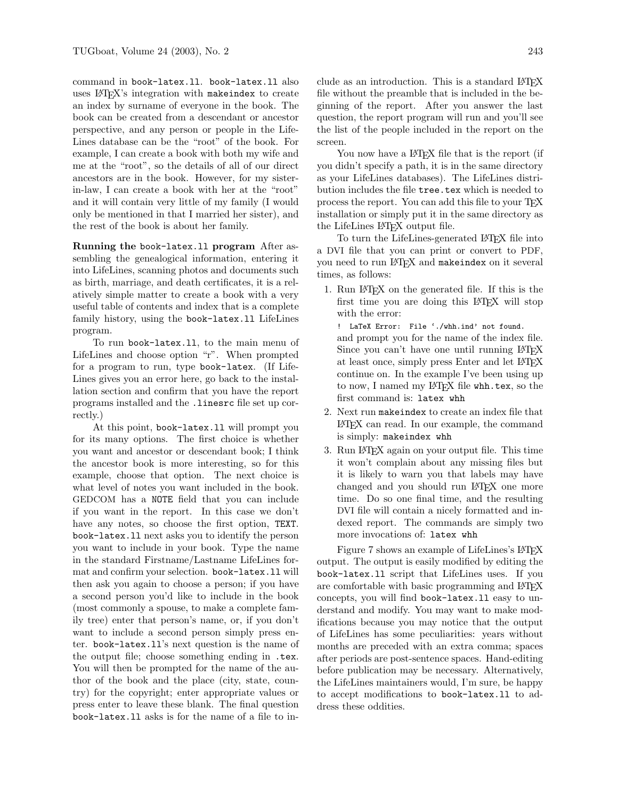command in book-latex.ll. book-latex.ll also uses L<sup>AT</sup>FX's integration with makeindex to create an index by surname of everyone in the book. The book can be created from a descendant or ancestor perspective, and any person or people in the Life-Lines database can be the "root" of the book. For example, I can create a book with both my wife and me at the "root", so the details of all of our direct ancestors are in the book. However, for my sisterin-law, I can create a book with her at the "root" and it will contain very little of my family (I would only be mentioned in that I married her sister), and the rest of the book is about her family.

Running the book-latex.ll program After assembling the genealogical information, entering it into LifeLines, scanning photos and documents such as birth, marriage, and death certificates, it is a relatively simple matter to create a book with a very useful table of contents and index that is a complete family history, using the book-latex.ll LifeLines program.

To run book-latex.ll, to the main menu of LifeLines and choose option "r". When prompted for a program to run, type book-latex. (If Life-Lines gives you an error here, go back to the installation section and confirm that you have the report programs installed and the .linesrc file set up correctly.)

At this point, book-latex.ll will prompt you for its many options. The first choice is whether you want and ancestor or descendant book; I think the ancestor book is more interesting, so for this example, choose that option. The next choice is what level of notes you want included in the book. GEDCOM has a NOTE field that you can include if you want in the report. In this case we don't have any notes, so choose the first option, TEXT. book-latex.ll next asks you to identify the person you want to include in your book. Type the name in the standard Firstname/Lastname LifeLines format and confirm your selection. book-latex.ll will then ask you again to choose a person; if you have a second person you'd like to include in the book (most commonly a spouse, to make a complete family tree) enter that person's name, or, if you don't want to include a second person simply press enter. book-latex.ll's next question is the name of the output file; choose something ending in .tex. You will then be prompted for the name of the author of the book and the place (city, state, country) for the copyright; enter appropriate values or press enter to leave these blank. The final question book-latex.ll asks is for the name of a file to include as an introduction. This is a standard LATEX file without the preamble that is included in the beginning of the report. After you answer the last question, the report program will run and you'll see the list of the people included in the report on the screen.

You now have a LAT<sub>F</sub>X file that is the report (if you didn't specify a path, it is in the same directory as your LifeLines databases). The LifeLines distribution includes the file tree.tex which is needed to process the report. You can add this file to your TEX installation or simply put it in the same directory as the LifeLines LATEX output file.

To turn the LifeLines-generated LATEX file into a DVI file that you can print or convert to PDF, you need to run LAT<sub>F</sub>X and makeindex on it several times, as follows:

1. Run LATEX on the generated file. If this is the first time you are doing this LATEX will stop with the error:

! LaTeX Error: File './whh.ind' not found. and prompt you for the name of the index file. Since you can't have one until running LAT<sub>E</sub>X at least once, simply press Enter and let LATEX continue on. In the example I've been using up to now, I named my LAT<sub>F</sub>X file whitex, so the first command is: latex whh

- 2. Next run makeindex to create an index file that LATEX can read. In our example, the command is simply: makeindex whh
- 3. Run LATEX again on your output file. This time it won't complain about any missing files but it is likely to warn you that labels may have changed and you should run LATEX one more time. Do so one final time, and the resulting DVI file will contain a nicely formatted and indexed report. The commands are simply two more invocations of: latex whh

Figure [7](#page-4-3) shows an example of LifeLines's LATEX output. The output is easily modified by editing the book-latex.ll script that LifeLines uses. If you are comfortable with basic programming and LATEX concepts, you will find book-latex.ll easy to understand and modify. You may want to make modifications because you may notice that the output of LifeLines has some peculiarities: years without months are preceded with an extra comma; spaces after periods are post-sentence spaces. Hand-editing before publication may be necessary. Alternatively, the LifeLines maintainers would, I'm sure, be happy to accept modifications to book-latex.ll to address these oddities.